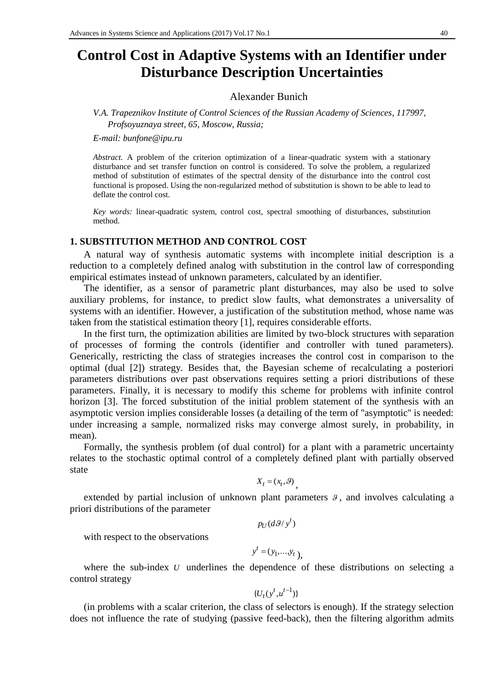# **Control Cost in Adaptive Systems with an Identifier under Disturbance Description Uncertainties**

## Alexander Bunich

*V.A. Trapeznikov Institute of Control Sciences of the Russian Academy of Sciences, 117997, Profsoyuznaya street, 65, Moscow, Russia;*

*E-mail: bunfone@ipu.ru*

*Abstract.* A problem of the criterion optimization of a linear-quadratic system with a stationary disturbance and set transfer function on control is considered. To solve the problem, a regularized method of substitution of estimates of the spectral density of the disturbance into the control cost functional is proposed. Using the non-regularized method of substitution is shown to be able to lead to deflate the control cost.

*Key words:* linear-quadratic system, control cost, spectral smoothing of disturbances, substitution method.

#### **1. SUBSTITUTION METHOD AND CONTROL COST**

A natural way of synthesis automatic systems with incomplete initial description is a reduction to a completely defined analog with substitution in the control law of corresponding empirical estimates instead of unknown parameters, calculated by an identifier.

The identifier, as a sensor of parametric plant disturbances, may also be used to solve auxiliary problems, for instance, to predict slow faults, what demonstrates a universality of systems with an identifier. However, a justification of the substitution method, whose name was taken from the statistical estimation theory [1], requires considerable efforts.

In the first turn, the optimization abilities are limited by two-block structures with separation of processes of forming the controls (identifier and controller with tuned parameters). Generically, restricting the class of strategies increases the control cost in comparison to the optimal (dual [2]) strategy. Besides that, the Bayesian scheme of recalculating a posteriori parameters distributions over past observations requires setting a priori distributions of these parameters. Finally, it is necessary to modify this scheme for problems with infinite control horizon [3]. The forced substitution of the initial problem statement of the synthesis with an asymptotic version implies considerable losses (a detailing of the term of ''asymptotic'' is needed: under increasing a sample, normalized risks may converge almost surely, in probability, in mean).

Formally, the synthesis problem (of dual control) for a plant with a parametric uncertainty relates to the stochastic optimal control of a completely defined plant with partially observed state

 $X_t = (x_t, \theta)$ ,

extended by partial inclusion of unknown plant parameters  $\theta$ , and involves calculating a priori distributions of the parameter

 $p_U(d\mathcal{G}/y^t)$ 

with respect to the observations

$$
y^t = (y_1, \ldots, y_t),
$$

where the sub-index  $U$  underlines the dependence of these distributions on selecting a control strategy

$$
\{U_t(y^t, u^{t-1})\}
$$

(in problems with a scalar criterion, the class of selectors is enough). If the strategy selection does not influence the rate of studying (passive feed-back), then the filtering algorithm admits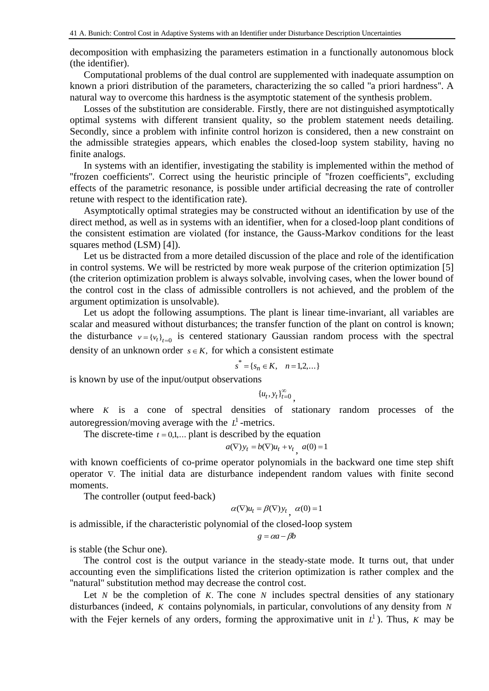decomposition with emphasizing the parameters estimation in a functionally autonomous block (the identifier).

Computational problems of the dual control are supplemented with inadequate assumption on known a priori distribution of the parameters, characterizing the so called ''a priori hardness''. A natural way to overcome this hardness is the asymptotic statement of the synthesis problem.

Losses of the substitution are considerable. Firstly, there are not distinguished asymptotically optimal systems with different transient quality, so the problem statement needs detailing. Secondly, since a problem with infinite control horizon is considered, then a new constraint on the admissible strategies appears, which enables the closed-loop system stability, having no finite analogs.

In systems with an identifier, investigating the stability is implemented within the method of ''frozen coefficients''. Correct using the heuristic principle of ''frozen coefficients'', excluding effects of the parametric resonance, is possible under artificial decreasing the rate of controller retune with respect to the identification rate).

Asymptotically optimal strategies may be constructed without an identification by use of the direct method, as well as in systems with an identifier, when for a closed-loop plant conditions of the consistent estimation are violated (for instance, the Gauss-Markov conditions for the least squares method (LSM) [4]).

Let us be distracted from a more detailed discussion of the place and role of the identification in control systems. We will be restricted by more weak purpose of the criterion optimization [5] (the criterion optimization problem is always solvable, involving cases, when the lower bound of the control cost in the class of admissible controllers is not achieved, and the problem of the argument optimization is unsolvable).

Let us adopt the following assumptions. The plant is linear time-invariant, all variables are scalar and measured without disturbances; the transfer function of the plant on control is known; the disturbance  $v = {v_t}_{t=0}$  is centered stationary Gaussian random process with the spectral density of an unknown order  $s \in K$ , for which a consistent estimate

$$
s^* = \{ s_n \in K, \quad n = 1, 2, \dots \}
$$

is known by use of the input/output observations

$$
\{u_t, y_t\}_{t=0}^\infty,
$$

where  $K$  is a cone of spectral densities of stationary random processes of the autoregression/moving average with the  $L<sup>1</sup>$ -metrics.

The discrete-time  $t = 0,1,...$  plant is described by the equation

$$
a(\nabla)y_t = b(\nabla)u_t + v_t, \ a(0) = 1
$$

with known coefficients of co-prime operator polynomials in the backward one time step shift operator  $\nabla$ . The initial data are disturbance independent random values with finite second moments.

The controller (output feed-back)

$$
\alpha(\nabla)u_t = \beta(\nabla)y_t, \ \alpha(0) = 1
$$

is admissible, if the characteristic polynomial of the closed-loop system

$$
g = \alpha a - \beta b
$$

is stable (the Schur one).

The control cost is the output variance in the steady-state mode. It turns out, that under accounting even the simplifications listed the criterion optimization is rather complex and the ''natural'' substitution method may decrease the control cost.

Let  $N$  be the completion of  $K$ . The cone  $N$  includes spectral densities of any stationary disturbances (indeed, *K* contains polynomials, in particular, convolutions of any density from *N* with the Fejer kernels of any orders, forming the approximative unit in  $L^1$ ). Thus, *K* may be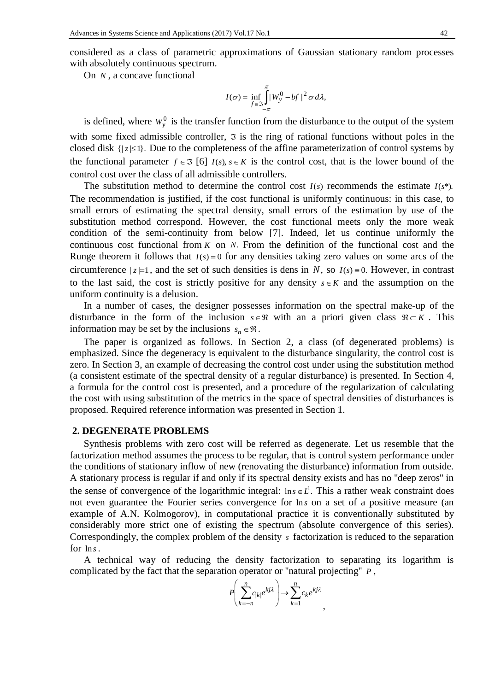considered as a class of parametric approximations of Gaussian stationary random processes with absolutely continuous spectrum.

On *N* , a concave functional

$$
I(\sigma) = \inf_{f \in \mathfrak{I}} \int_{-\pi}^{\pi} |W_{y}^{0} - bf|^{2} \sigma d\lambda,
$$

is defined, where  $W_y^0$  is the transfer function from the disturbance to the output of the system with some fixed admissible controller,  $\tilde{z}$  is the ring of rational functions without poles in the closed disk  $\{|z| \leq 1\}$ . Due to the completeness of the affine parameterization of control systems by the functional parameter  $f \in \mathfrak{I}$  [6]  $I(s), s \in K$  is the control cost, that is the lower bound of the control cost over the class of all admissible controllers.

The substitution method to determine the control cost  $I(s)$  recommends the estimate  $I(s^*)$ . The recommendation is justified, if the cost functional is uniformly continuous: in this case, to small errors of estimating the spectral density, small errors of the estimation by use of the substitution method correspond. However, the cost functional meets only the more weak condition of the semi-continuity from below [7]. Indeed, let us continue uniformly the continuous cost functional from  $K$  on  $N$ . From the definition of the functional cost and the Runge theorem it follows that  $I(s) = 0$  for any densities taking zero values on some arcs of the circumference  $|z|=1$ , and the set of such densities is dens in N, so  $I(s) = 0$ . However, in contrast to the last said, the cost is strictly positive for any density  $s \in K$  and the assumption on the uniform continuity is a delusion.

In a number of cases, the designer possesses information on the spectral make-up of the disturbance in the form of the inclusion  $s \in \Re$  with an a priori given class  $\Re \subset K$ . This information may be set by the inclusions  $s_n \in \mathcal{R}$ .

The paper is organized as follows. In Section 2, a class (of degenerated problems) is emphasized. Since the degeneracy is equivalent to the disturbance singularity, the control cost is zero. In Section 3, an example of decreasing the control cost under using the substitution method (a consistent estimate of the spectral density of a regular disturbance) is presented. In Section 4, a formula for the control cost is presented, and a procedure of the regularization of calculating the cost with using substitution of the metrics in the space of spectral densities of disturbances is proposed. Required reference information was presented in Section 1.

#### **2. DEGENERATE PROBLEMS**

Synthesis problems with zero cost will be referred as degenerate. Let us resemble that the factorization method assumes the process to be regular, that is control system performance under the conditions of stationary inflow of new (renovating the disturbance) information from outside. A stationary process is regular if and only if its spectral density exists and has no ''deep zeros'' in the sense of convergence of the logarithmic integral:  $\ln s \in L^1$ . This a rather weak constraint does not even guarantee the Fourier series convergence for lns on a set of a positive measure (an example of A.N. Kolmogorov), in computational practice it is conventionally substituted by considerably more strict one of existing the spectrum (absolute convergence of this series). Correspondingly, the complex problem of the density *s* factorization is reduced to the separation for ln*s*.

A technical way of reducing the density factorization to separating its logarithm is complicated by the fact that the separation operator or ''natural projecting'' *P* ,

$$
P\left(\sum_{k=-n}^{n}c_{|k|}e^{kj\lambda}\right) \to \sum_{k=1}^{n}c_{k}e^{kj\lambda},
$$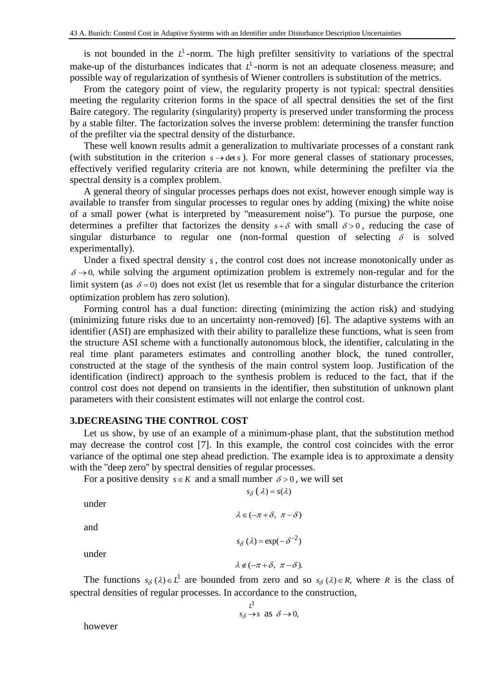is not bounded in the  $L^1$ -norm. The high prefilter sensitivity to variations of the spectral make-up of the disturbances indicates that  $L<sup>1</sup>$ -norm is not an adequate closeness measure; and possible way of regularization of synthesis of Wiener controllers is substitution of the metrics.

From the category point of view, the regularity property is not typical: spectral densities meeting the regularity criterion forms in the space of all spectral densities the set of the first Baire category. The regularity (singularity) property is preserved under transforming the process by a stable filter. The factorization solves the inverse problem: determining the transfer function of the prefilter via the spectral density of the disturbance.

These well known results admit a generalization to multivariate processes of a constant rank (with substitution in the criterion  $s \rightarrow det s$ ). For more general classes of stationary processes, effectively verified regularity criteria are not known, while determining the prefilter via the spectral density is a complex problem.

A general theory of singular processes perhaps does not exist, however enough simple way is available to transfer from singular processes to regular ones by adding (mixing) the white noise of a small power (what is interpreted by ''measurement noise''). To pursue the purpose, one determines a prefilter that factorizes the density  $s + \delta$  with small  $\delta > 0$ , reducing the case of singular disturbance to regular one (non-formal question of selecting  $\delta$  is solved experimentally).

Under a fixed spectral density  $s$ , the control cost does not increase monotonically under as  $\delta \rightarrow 0$ , while solving the argument optimization problem is extremely non-regular and for the limit system (as  $\delta = 0$ ) does not exist (let us resemble that for a singular disturbance the criterion optimization problem has zero solution).

Forming control has a dual function: directing (minimizing the action risk) and studying (minimizing future risks due to an uncertainty non-removed) [6]. The adaptive systems with an identifier (ASI) are emphasized with their ability to parallelize these functions, what is seen from the structure ASI scheme with a functionally autonomous block, the identifier, calculating in the real time plant parameters estimates and controlling another block, the tuned controller, constructed at the stage of the synthesis of the main control system loop. Justification of the identification (indirect) approach to the synthesis problem is reduced to the fact, that if the control cost does not depend on transients in the identifier, then substitution of unknown plant parameters with their consistent estimates will not enlarge the control cost.

### **3.DECREASING THE CONTROL COST**

Let us show, by use of an example of a minimum-phase plant, that the substitution method may decrease the control cost [7]. In this example, the control cost coincides with the error variance of the optimal one step ahead prediction. The example idea is to approximate a density with the ''deep zero'' by spectral densities of regular processes.

For a positive density  $s \in K$  and a small number  $\delta > 0$ , we will set

under

and

$$
s_{\delta}\left(\lambda\right) = \exp(-\delta^{-2})
$$

 $\lambda \notin (-\pi + \delta, \pi - \delta).$ 

 $s_{\delta}(\lambda) = s(\lambda)$ 

 $\lambda \in (-\pi + \delta, \pi - \delta)$ 

under

The functions  $s_{\delta}(\lambda) \in L^1$  are bounded from zero and so  $s_{\delta}(\lambda) \in R$ , where R is the class of spectral densities of regular processes. In accordance to the construction,

$$
\lim_{s_{\delta}\to s} \text{ as } \delta \to 0,
$$

however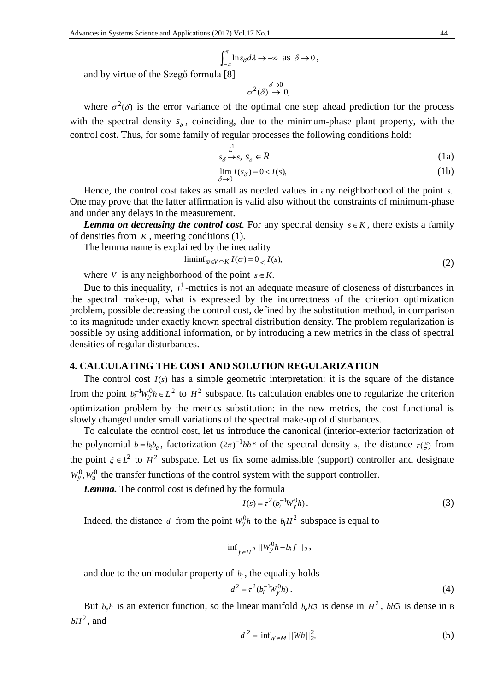$$
\int_{-\pi}^{\pi} \ln s_{\delta} d\lambda \to -\infty \text{ as } \delta \to 0,
$$

and by virtue of the Szegő formula [8]

$$
\sigma^2(\delta) \stackrel{\delta \to 0}{\to} 0,
$$

where  $\sigma^2(\delta)$  is the error variance of the optimal one step ahead prediction for the process with the spectral density  $s_{\delta}$ , coinciding, due to the minimum-phase plant property, with the control cost. Thus, for some family of regular processes the following conditions hold:

$$
\begin{array}{c}\nL^1 \\
s_\delta \to s, \ s_\delta \in R\n\end{array} \tag{1a}
$$

$$
\lim_{\delta \to 0} I(s_{\delta}) = 0 < I(s),\tag{1b}
$$

Hence, the control cost takes as small as needed values in any neighborhood of the point *s*. One may prove that the latter affirmation is valid also without the constraints of minimum-phase and under any delays in the measurement.

*Lemma* on decreasing the control cost. For any spectral density  $s \in K$ , there exists a family of densities from  $K$ , meeting conditions  $(1)$ .

The lemma name is explained by the inequality

$$
\liminf_{\sigma \in V \cap K} I(\sigma) = 0 \lt I(s),\tag{2}
$$

where *V* is any neighborhood of the point  $s \in K$ .

Due to this inequality,  $L^1$ -metrics is not an adequate measure of closeness of disturbances in the spectral make-up, what is expressed by the incorrectness of the criterion optimization problem, possible decreasing the control cost, defined by the substitution method, in comparison to its magnitude under exactly known spectral distribution density. The problem regularization is possible by using additional information, or by introducing a new metrics in the class of spectral densities of regular disturbances.

#### **4. CALCULATING THE COST AND SOLUTION REGULARIZATION**

The control cost  $I(s)$  has a simple geometric interpretation: it is the square of the distance from the point  $b_i^{-1}W_y^0 h \in L^2$  to  $H^2$  subspace. Its calculation enables one to regularize the criterion optimization problem by the metrics substitution: in the new metrics, the cost functional is slowly changed under small variations of the spectral make-up of disturbances.

To calculate the control cost, let us introduce the canonical (interior-exterior factorization of the polynomial  $b = b_i b_e$ , factorization  $(2\pi)^{-1} h h^*$  of the spectral density *s*, the distance  $\tau(\xi)$  from the point  $\xi \in L^2$  to  $H^2$  subspace. Let us fix some admissible (support) controller and designate  $W_y^0$ ,  $W_u^0$  the transfer functions of the control system with the support controller.

*Lemma.* The control cost is defined by the formula

$$
I(s) = \tau^2 (b_i^{-1} W_y^0 h).
$$
 (3)

Indeed, the distance d from the point  $W_y^0 h$  to the  $b_i H^2$  subspace is equal to

$$
\inf\nolimits_{f\in H^2}||W_y^0 h - b_i f||_2,
$$

and due to the unimodular property of  $b_i$ , the equality holds

$$
d^2 = \tau^2 (b_i^{-1} W_y^0 h) \,. \tag{4}
$$

But  $b_e h$  is an exterior function, so the linear manifold  $b_e h$ **3** is dense in  $H^2$ ,  $bh$ **3** is dense in B  $bH^2$ , and

$$
d^2 = \inf_{W \in M} ||Wh||_2^2,
$$
 (5)